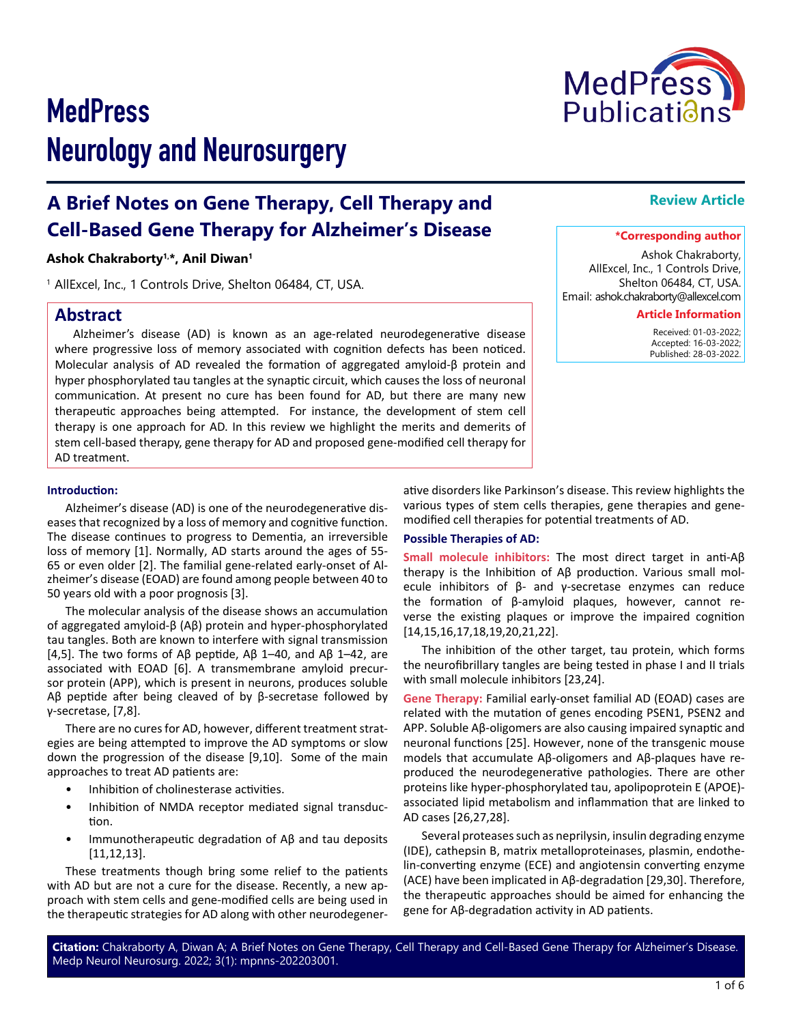# **MedPress** Neurology and Neurosurgery

# **A Brief Notes on Gene Therapy, Cell Therapy and Cell-Based Gene Therapy for Alzheimer's Disease**

#### **Ashok Chakraborty1,\*, Anil Diwan1**

<sup>1</sup> AllExcel, Inc., 1 Controls Drive, Shelton 06484, CT, USA.

# **Abstract**

Alzheimer's disease (AD) is known as an age-related neurodegenerative disease where progressive loss of memory associated with cognition defects has been noticed. Molecular analysis of AD revealed the formation of aggregated amyloid-β protein and hyper phosphorylated tau tangles at the synaptic circuit, which causes the loss of neuronal communication. At present no cure has been found for AD, but there are many new therapeutic approaches being attempted. For instance, the development of stem cell therapy is one approach for AD. In this review we highlight the merits and demerits of stem cell-based therapy, gene therapy for AD and proposed gene-modified cell therapy for AD treatment.

#### **Introduction:**

Alzheimer's disease (AD) is one of the neurodegenerative diseases that recognized by a loss of memory and cognitive function. The disease continues to progress to Dementia, an irreversible loss of memory [1]. Normally, AD starts around the ages of 55- 65 or even older [2]. The familial gene-related early-onset of Alzheimer's disease (EOAD) are found among people between 40 to 50 years old with a poor prognosis [3].

The molecular analysis of the disease shows an accumulation of aggregated amyloid-β (Aβ) protein and hyper-phosphorylated tau tangles. Both are known to interfere with signal transmission [4,5]. The two forms of Aβ peptide, Aβ 1–40, and Aβ 1–42, are associated with EOAD [6]. A transmembrane amyloid precursor protein (APP), which is present in neurons, produces soluble Aβ peptide after being cleaved of by β-secretase followed by γ-secretase, [7,8].

There are no cures for AD, however, different treatment strategies are being attempted to improve the AD symptoms or slow down the progression of the disease [9,10]. Some of the main approaches to treat AD patients are:

- Inhibition of cholinesterase activities.
- Inhibition of NMDA receptor mediated signal transduction.
- Immunotherapeutic degradation of Aβ and tau deposits [11,12,13].

These treatments though bring some relief to the patients with AD but are not a cure for the disease. Recently, a new approach with stem cells and gene-modified cells are being used in the therapeutic strategies for AD along with other neurodegener-

Medp Neurol Neurosurg. 2022; 3(1): mpnns-202203001.

ative disorders like Parkinson's disease. This review highlights the various types of stem cells therapies, gene therapies and genemodified cell therapies for potential treatments of AD.

#### **Possible Therapies of AD:**

**Citation:** Chakraborty A, Diwan A; A Brief Notes on Gene Therapy, Cell Therapy and Cell-Based Gene Therapy for Alzheimer's Disease.

**Small molecule inhibitors:** The most direct target in anti-Aβ therapy is the Inhibition of Aβ production. Various small molecule inhibitors of β- and γ-secretase enzymes can reduce the formation of β-amyloid plaques, however, cannot reverse the existing plaques or improve the impaired cognition [14,15,16,17,18,19,20,21,22].

The inhibition of the other target, tau protein, which forms the neurofibrillary tangles are being tested in phase I and II trials with small molecule inhibitors [23,24].

**Gene Therapy:** Familial early-onset familial AD (EOAD) cases are related with the mutation of genes encoding PSEN1, PSEN2 and APP. Soluble Aβ-oligomers are also causing impaired synaptic and neuronal functions [25]. However, none of the transgenic mouse models that accumulate Aβ-oligomers and Aβ-plaques have reproduced the neurodegenerative pathologies. There are other proteins like hyper-phosphorylated tau, apolipoprotein E (APOE) associated lipid metabolism and inflammation that are linked to AD cases [26,27,28].

Several proteases such as neprilysin, insulin degrading enzyme (IDE), cathepsin B, matrix metalloproteinases, plasmin, endothelin-converting enzyme (ECE) and angiotensin converting enzyme (ACE) have been implicated in Aβ-degradation [29,30]. Therefore, the therapeutic approaches should be aimed for enhancing the gene for Aβ-degradation activity in AD patients.

# **Review Article**

#### **\*Corresponding author**

Ashok Chakraborty, AllExcel, Inc., 1 Controls Drive, Shelton 06484, CT, USA. Email: ashok.chakraborty@allexcel.com

#### **Article Information**

 Received: 01-03-2022; Accepted: 16-03-2022; Published: 28-03-2022.

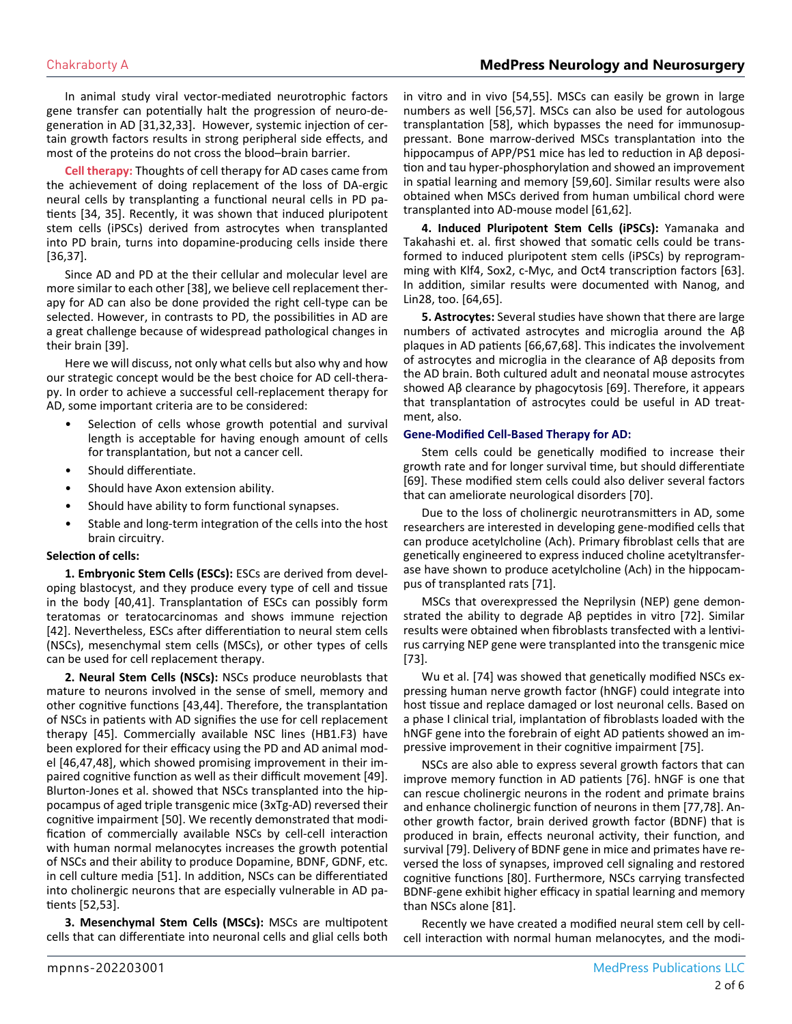In animal study viral vector-mediated neurotrophic factors gene transfer can potentially halt the progression of neuro-degeneration in AD [31,32,33]. However, systemic injection of certain growth factors results in strong peripheral side effects, and most of the proteins do not cross the blood–brain barrier.

**Cell therapy:** Thoughts of cell therapy for AD cases came from the achievement of doing replacement of the loss of DA-ergic neural cells by transplanting a functional neural cells in PD patients [34, 35]. Recently, it was shown that induced pluripotent stem cells (iPSCs) derived from astrocytes when transplanted into PD brain, turns into dopamine-producing cells inside there [36,37].

Since AD and PD at the their cellular and molecular level are more similar to each other [38], we believe cell replacement therapy for AD can also be done provided the right cell-type can be selected. However, in contrasts to PD, the possibilities in AD are a great challenge because of widespread pathological changes in their brain [39].

Here we will discuss, not only what cells but also why and how our strategic concept would be the best choice for AD cell-therapy. In order to achieve a successful cell-replacement therapy for AD, some important criteria are to be considered:

- Selection of cells whose growth potential and survival length is acceptable for having enough amount of cells for transplantation, but not a cancer cell.
- Should differentiate.
- Should have Axon extension ability.
- Should have ability to form functional synapses.
- Stable and long-term integration of the cells into the host brain circuitry.

#### **Selection of cells:**

**1. Embryonic Stem Cells (ESCs):** ESCs are derived from developing blastocyst, and they produce every type of cell and tissue in the body [40,41]. Transplantation of ESCs can possibly form teratomas or teratocarcinomas and shows immune rejection [42]. Nevertheless, ESCs after differentiation to neural stem cells (NSCs), mesenchymal stem cells (MSCs), or other types of cells can be used for cell replacement therapy.

**2. Neural Stem Cells (NSCs):** NSCs produce neuroblasts that mature to neurons involved in the sense of smell, memory and other cognitive functions [43,44]. Therefore, the transplantation of NSCs in patients with AD signifies the use for cell replacement therapy [45]. Commercially available NSC lines (HB1.F3) have been explored for their efficacy using the PD and AD animal model [46,47,48], which showed promising improvement in their impaired cognitive function as well as their difficult movement [49]. Blurton-Jones et al. showed that NSCs transplanted into the hippocampus of aged triple transgenic mice (3xTg-AD) reversed their cognitive impairment [50]. We recently demonstrated that modification of commercially available NSCs by cell-cell interaction with human normal melanocytes increases the growth potential of NSCs and their ability to produce Dopamine, BDNF, GDNF, etc. in cell culture media [51]. In addition, NSCs can be differentiated into cholinergic neurons that are especially vulnerable in AD patients [52,53].

**3. Mesenchymal Stem Cells (MSCs):** MSCs are multipotent cells that can differentiate into neuronal cells and glial cells both

in vitro and in vivo [54,55]. MSCs can easily be grown in large numbers as well [56,57]. MSCs can also be used for autologous transplantation [58], which bypasses the need for immunosuppressant. Bone marrow-derived MSCs transplantation into the hippocampus of APP/PS1 mice has led to reduction in Aβ deposition and tau hyper-phosphorylation and showed an improvement in spatial learning and memory [59,60]. Similar results were also obtained when MSCs derived from human umbilical chord were transplanted into AD-mouse model [61,62].

**4. Induced Pluripotent Stem Cells (iPSCs):** Yamanaka and Takahashi et. al. first showed that somatic cells could be transformed to induced pluripotent stem cells (iPSCs) by reprogramming with Klf4, Sox2, c-Myc, and Oct4 transcription factors [63]. In addition, similar results were documented with Nanog, and Lin28, too. [64,65].

**5. Astrocytes:** Several studies have shown that there are large numbers of activated astrocytes and microglia around the Aβ plaques in AD patients [66,67,68]. This indicates the involvement of astrocytes and microglia in the clearance of Aβ deposits from the AD brain. Both cultured adult and neonatal mouse astrocytes showed Aβ clearance by phagocytosis [69]. Therefore, it appears that transplantation of astrocytes could be useful in AD treatment, also.

#### **Gene-Modified Cell-Based Therapy for AD:**

Stem cells could be genetically modified to increase their growth rate and for longer survival time, but should differentiate [69]. These modified stem cells could also deliver several factors that can ameliorate neurological disorders [70].

Due to the loss of cholinergic neurotransmitters in AD, some researchers are interested in developing gene-modified cells that can produce acetylcholine (Ach). Primary fibroblast cells that are genetically engineered to express induced choline acetyltransferase have shown to produce acetylcholine (Ach) in the hippocampus of transplanted rats [71].

MSCs that overexpressed the Neprilysin (NEP) gene demonstrated the ability to degrade Aβ peptides in vitro [72]. Similar results were obtained when fibroblasts transfected with a lentivirus carrying NEP gene were transplanted into the transgenic mice [73].

Wu et al. [74] was showed that genetically modified NSCs expressing human nerve growth factor (hNGF) could integrate into host tissue and replace damaged or lost neuronal cells. Based on a phase I clinical trial, implantation of fibroblasts loaded with the hNGF gene into the forebrain of eight AD patients showed an impressive improvement in their cognitive impairment [75].

NSCs are also able to express several growth factors that can improve memory function in AD patients [76]. hNGF is one that can rescue cholinergic neurons in the rodent and primate brains and enhance cholinergic function of neurons in them [77,78]. Another growth factor, brain derived growth factor (BDNF) that is produced in brain, effects neuronal activity, their function, and survival [79]. Delivery of BDNF gene in mice and primates have reversed the loss of synapses, improved cell signaling and restored cognitive functions [80]. Furthermore, NSCs carrying transfected BDNF-gene exhibit higher efficacy in spatial learning and memory than NSCs alone [81].

Recently we have created a modified neural stem cell by cellcell interaction with normal human melanocytes, and the modi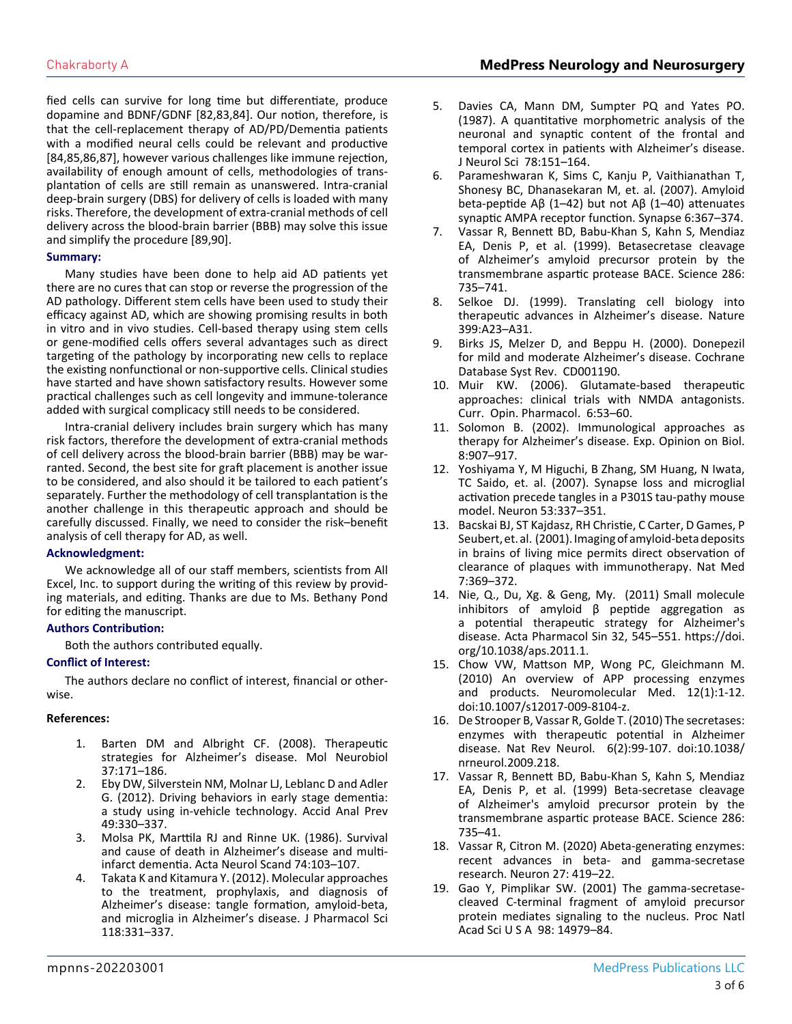fied cells can survive for long time but differentiate, produce dopamine and BDNF/GDNF [82,83,84]. Our notion, therefore, is that the cell-replacement therapy of AD/PD/Dementia patients with a modified neural cells could be relevant and productive [84,85,86,87], however various challenges like immune rejection, availability of enough amount of cells, methodologies of transplantation of cells are still remain as unanswered. Intra-cranial deep-brain surgery (DBS) for delivery of cells is loaded with many risks. Therefore, the development of extra-cranial methods of cell delivery across the blood-brain barrier (BBB) may solve this issue and simplify the procedure [89,90].

#### **Summary:**

Many studies have been done to help aid AD patients yet there are no cures that can stop or reverse the progression of the AD pathology. Different stem cells have been used to study their efficacy against AD, which are showing promising results in both in vitro and in vivo studies. Cell-based therapy using stem cells or gene-modified cells offers several advantages such as direct targeting of the pathology by incorporating new cells to replace the existing nonfunctional or non-supportive cells. Clinical studies have started and have shown satisfactory results. However some practical challenges such as cell longevity and immune-tolerance added with surgical complicacy still needs to be considered.

Intra-cranial delivery includes brain surgery which has many risk factors, therefore the development of extra-cranial methods of cell delivery across the blood-brain barrier (BBB) may be warranted. Second, the best site for graft placement is another issue to be considered, and also should it be tailored to each patient's separately. Further the methodology of cell transplantation is the another challenge in this therapeutic approach and should be carefully discussed. Finally, we need to consider the risk–benefit analysis of cell therapy for AD, as well.

#### **Acknowledgment:**

We acknowledge all of our staff members, scientists from All Excel, Inc. to support during the writing of this review by providing materials, and editing. Thanks are due to Ms. Bethany Pond for editing the manuscript.

#### **Authors Contribution:**

Both the authors contributed equally.

#### **Conflict of Interest:**

The authors declare no conflict of interest, financial or otherwise.

#### **References:**

- 1. Barten DM and Albright CF. (2008). Therapeutic strategies for Alzheimer's disease. Mol Neurobiol 37:171–186.
- 2. [Eby DW, Silverstein NM, Molnar LJ, Leblanc D and Adler](https://pubmed.ncbi.nlm.nih.gov/23036413/) [G. \(2012\). Driving behaviors in early stage dementia:](https://pubmed.ncbi.nlm.nih.gov/23036413/) [a study using in-vehicle technology. Accid Anal Prev](https://pubmed.ncbi.nlm.nih.gov/23036413/) [49:330–337.](https://pubmed.ncbi.nlm.nih.gov/23036413/)
- 3. [Molsa PK, Marttila RJ and Rinne UK. \(1986\). Survival](https://pubmed.ncbi.nlm.nih.gov/3776457/)  [and cause of death in Alzheimer's disease and multi](https://pubmed.ncbi.nlm.nih.gov/3776457/)[infarct dementia. Acta Neurol Scand 74:103–107.](https://pubmed.ncbi.nlm.nih.gov/3776457/)
- 4. [Takata K and Kitamura Y. \(2012\). Molecular approaches](https://pubmed.ncbi.nlm.nih.gov/22382659/)  [to the treatment, prophylaxis, and diagnosis of](https://pubmed.ncbi.nlm.nih.gov/22382659/)  [Alzheimer's disease: tangle formation, amyloid-beta,](https://pubmed.ncbi.nlm.nih.gov/22382659/)  [and microglia in Alzheimer's disease. J Pharmacol Sci](https://pubmed.ncbi.nlm.nih.gov/22382659/)  [118:331–337.](https://pubmed.ncbi.nlm.nih.gov/22382659/)
- 5. [Davies CA, Mann DM, Sumpter PQ and Yates PO.](https://pubmed.ncbi.nlm.nih.gov/3572454/) [\(1987\). A quantitative morphometric analysis of the](https://pubmed.ncbi.nlm.nih.gov/3572454/) [neuronal and synaptic content of the frontal and](https://pubmed.ncbi.nlm.nih.gov/3572454/)  [temporal cortex in patients with Alzheimer's disease.](https://pubmed.ncbi.nlm.nih.gov/3572454/)  [J Neurol Sci 78:151–164.](https://pubmed.ncbi.nlm.nih.gov/3572454/)
- 6. [Parameshwaran K, Sims C, Kanju P, Vaithianathan T,](https://pubmed.ncbi.nlm.nih.gov/17372971/) [Shonesy BC, Dhanasekaran M, et. al. \(2007\). Amyloid](https://pubmed.ncbi.nlm.nih.gov/17372971/)  [beta-peptide Aβ \(1–42\) but not Aβ \(1–40\) attenuates](https://pubmed.ncbi.nlm.nih.gov/17372971/)  [synaptic AMPA receptor function. Synapse 6:367–374.](https://pubmed.ncbi.nlm.nih.gov/17372971/)
- 7. [Vassar R, Bennett BD, Babu-Khan S, Kahn S, Mendiaz](https://pubmed.ncbi.nlm.nih.gov/10531052/)  [EA, Denis P, et al. \(1999\). Betasecretase cleavage](https://pubmed.ncbi.nlm.nih.gov/10531052/) [of Alzheimer's amyloid precursor protein by the](https://pubmed.ncbi.nlm.nih.gov/10531052/)  [transmembrane aspartic protease BACE. Science 286:](https://pubmed.ncbi.nlm.nih.gov/10531052/) [735–741.](https://pubmed.ncbi.nlm.nih.gov/10531052/)
- 8. [Selkoe DJ. \(1999\). Translating cell biology into](https://pubmed.ncbi.nlm.nih.gov/10392577/)  [therapeutic advances in Alzheimer's disease. Nature](https://pubmed.ncbi.nlm.nih.gov/10392577/) [399:A23–A31.](https://pubmed.ncbi.nlm.nih.gov/10392577/)
- 9. [Birks JS, Melzer D, and Beppu H. \(2000\). Donepezil](https://pubmed.ncbi.nlm.nih.gov/11034704/)  [for mild and moderate Alzheimer's disease. Cochrane](https://pubmed.ncbi.nlm.nih.gov/11034704/)  [Database Syst Rev. CD001190.](https://pubmed.ncbi.nlm.nih.gov/11034704/)
- 10. [Muir KW. \(2006\). Glutamate-based therapeutic](https://pubmed.ncbi.nlm.nih.gov/16359918/)  [approaches: clinical trials with NMDA antagonists.](https://pubmed.ncbi.nlm.nih.gov/16359918/)  [Curr. Opin. Pharmacol. 6:53–60.](https://pubmed.ncbi.nlm.nih.gov/16359918/)
- 11. [Solomon B. \(2002\). Immunological approaches as](https://pubmed.ncbi.nlm.nih.gov/12517269/)  [therapy for Alzheimer's disease. Exp. Opinion on Biol.](https://pubmed.ncbi.nlm.nih.gov/12517269/)  [8:907–917.](https://pubmed.ncbi.nlm.nih.gov/12517269/)
- 12. [Yoshiyama Y, M Higuchi, B Zhang, SM Huang, N Iwata,](https://pubmed.ncbi.nlm.nih.gov/17270732/) [TC Saido, et. al. \(2007\). Synapse loss and microglial](https://pubmed.ncbi.nlm.nih.gov/17270732/)  [activation precede tangles in a P301S tau-pathy mouse](https://pubmed.ncbi.nlm.nih.gov/17270732/)  [model. Neuron 53:337–351.](https://pubmed.ncbi.nlm.nih.gov/17270732/)
- 13. [Bacskai BJ, ST Kajdasz, RH Christie, C Carter, D Games, P](https://pubmed.ncbi.nlm.nih.gov/11231639/) [Seubert, et. al. \(2001\). Imaging of amyloid-beta deposits](https://pubmed.ncbi.nlm.nih.gov/11231639/)  [in brains of living mice permits direct observation of](https://pubmed.ncbi.nlm.nih.gov/11231639/)  [clearance of plaques with immunotherapy. Nat Med](https://pubmed.ncbi.nlm.nih.gov/11231639/) [7:369–372.](https://pubmed.ncbi.nlm.nih.gov/11231639/)
- 14. Nie, Q., Du, Xg. & Geng, My. (2011) Small molecule inhibitors of amyloid  $β$  peptide aggregation as a potential therapeutic strategy for Alzheimer's disease. Acta Pharmacol Sin 32, 545–551. [https://doi.](https://doi.org/10.1038/aps.2011.1) [org/10.1038/aps.2011.1.](https://doi.org/10.1038/aps.2011.1)
- 15. [Chow VW, Mattson MP, Wong PC, Gleichmann M.](https://pubmed.ncbi.nlm.nih.gov/20232515/)  [\(2010\) An overview of APP processing enzymes](https://pubmed.ncbi.nlm.nih.gov/20232515/) [and products. Neuromolecular Med. 12\(1\):1-12.](https://pubmed.ncbi.nlm.nih.gov/20232515/) [doi:10.1007/s12017-009-8104-z.](https://pubmed.ncbi.nlm.nih.gov/20232515/)
- 16. [De Strooper B, Vassar R, Golde T. \(2010\) The secretases:](https://www.ncbi.nlm.nih.gov/pmc/articles/PMC2879045/) [enzymes with therapeutic potential in Alzheimer](https://www.ncbi.nlm.nih.gov/pmc/articles/PMC2879045/) [disease. Nat Rev Neurol. 6\(2\):99-107. doi:10.1038/](https://www.ncbi.nlm.nih.gov/pmc/articles/PMC2879045/) [nrneurol.2009.218.](https://www.ncbi.nlm.nih.gov/pmc/articles/PMC2879045/)
- 17. [Vassar R, Bennett BD, Babu-Khan S, Kahn S, Mendiaz](https://pubmed.ncbi.nlm.nih.gov/10531052/)  [EA, Denis P, et al. \(1999\) Beta-secretase cleavage](https://pubmed.ncbi.nlm.nih.gov/10531052/) [of Alzheimer's amyloid precursor protein by the](https://pubmed.ncbi.nlm.nih.gov/10531052/) [transmembrane aspartic protease BACE. Science 286:](https://pubmed.ncbi.nlm.nih.gov/10531052/) [735–41.](https://pubmed.ncbi.nlm.nih.gov/10531052/)
- 18. [Vassar R, Citron M. \(2020\) Abeta-generating enzymes:](https://pubmed.ncbi.nlm.nih.gov/11055423/) [recent advances in beta- and gamma-secretase](https://pubmed.ncbi.nlm.nih.gov/11055423/) [research. Neuron 27: 419–22.](https://pubmed.ncbi.nlm.nih.gov/11055423/)
- 19. [Gao Y, Pimplikar SW. \(2001\) The gamma-secretase](https://pubmed.ncbi.nlm.nih.gov/11742091/)[cleaved C-terminal fragment of amyloid precursor](https://pubmed.ncbi.nlm.nih.gov/11742091/) [protein mediates signaling to the nucleus. Proc Natl](https://pubmed.ncbi.nlm.nih.gov/11742091/) [Acad Sci U S A 98: 14979–84.](https://pubmed.ncbi.nlm.nih.gov/11742091/)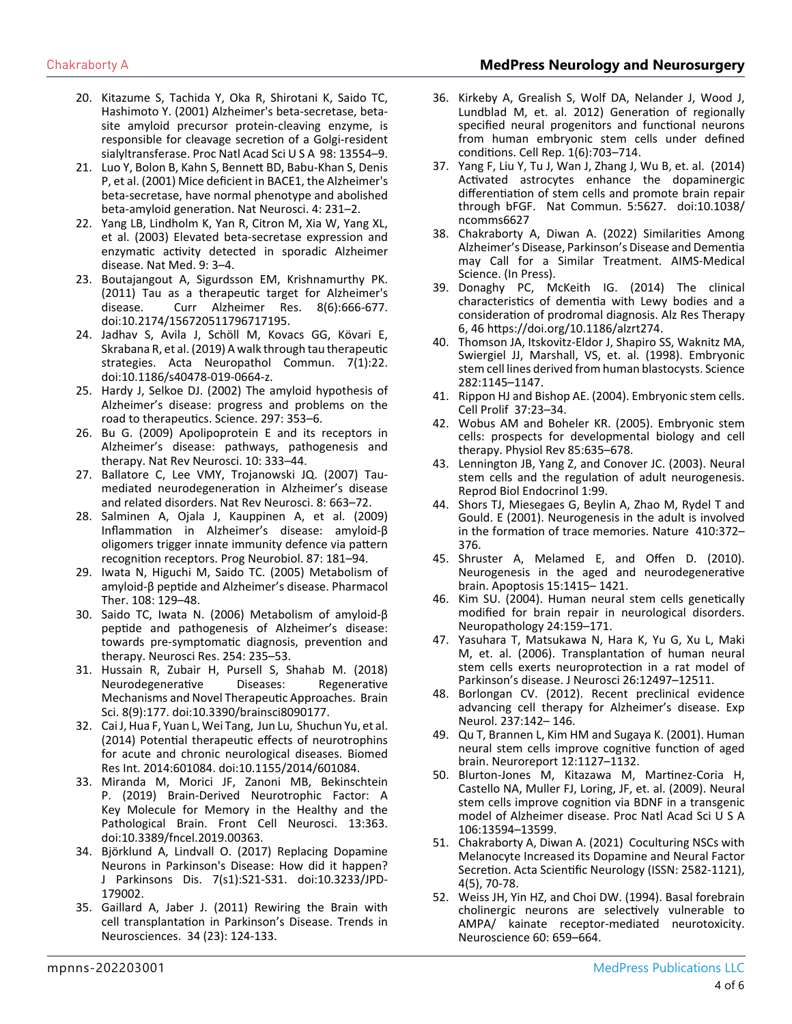- 20. [Kitazume S, Tachida Y, Oka R, Shirotani K, Saido TC,](https://pubmed.ncbi.nlm.nih.gov/11698669/)  [Hashimoto Y. \(2001\) Alzheimer's beta-secretase, beta](https://pubmed.ncbi.nlm.nih.gov/11698669/)[site amyloid precursor protein-cleaving enzyme, is](https://pubmed.ncbi.nlm.nih.gov/11698669/)  [responsible for cleavage secretion of a Golgi-resident](https://pubmed.ncbi.nlm.nih.gov/11698669/)  [sialyltransferase. Proc Natl Acad Sci U S A 98: 13554–9.](https://pubmed.ncbi.nlm.nih.gov/11698669/)
- 21. [Luo Y, Bolon B, Kahn S, Bennett BD, Babu-Khan S, Denis](https://pubmed.ncbi.nlm.nih.gov/11224535/)  [P, et al. \(2001\) Mice deficient in BACE1, the Alzheimer's](https://pubmed.ncbi.nlm.nih.gov/11224535/) [beta-secretase, have normal phenotype and abolished](https://pubmed.ncbi.nlm.nih.gov/11224535/)  [beta-amyloid generation. Nat Neurosci. 4: 231–2.](https://pubmed.ncbi.nlm.nih.gov/11224535/)
- 22. [Yang LB, Lindholm K, Yan R, Citron M, Xia W, Yang XL,](https://pubmed.ncbi.nlm.nih.gov/12514700/)  [et al. \(2003\) Elevated beta-secretase expression and](https://pubmed.ncbi.nlm.nih.gov/12514700/)  [enzymatic activity detected in sporadic Alzheimer](https://pubmed.ncbi.nlm.nih.gov/12514700/) [disease. Nat Med. 9: 3–4.](https://pubmed.ncbi.nlm.nih.gov/12514700/)
- 23. [Boutajangout A, Sigurdsson EM, Krishnamurthy PK.](https://pubmed.ncbi.nlm.nih.gov/21679154/) [\(2011\) Tau as a therapeutic target for Alzheimer's](https://pubmed.ncbi.nlm.nih.gov/21679154/) [disease. Curr Alzheimer Res. 8\(6\):666-677.](https://pubmed.ncbi.nlm.nih.gov/21679154/) [doi:10.2174/156720511796717195.](https://pubmed.ncbi.nlm.nih.gov/21679154/)
- 24. [Jadhav S, Avila J, Schöll M, Kovacs GG, Kövari E,](https://pubmed.ncbi.nlm.nih.gov/30767766/)  [Skrabana R, et al. \(2019\) A walk through tau therapeutic](https://pubmed.ncbi.nlm.nih.gov/30767766/)  [strategies. Acta Neuropathol Commun. 7\(1\):22.](https://pubmed.ncbi.nlm.nih.gov/30767766/)  [doi:10.1186/s40478-019-0664-z.](https://pubmed.ncbi.nlm.nih.gov/30767766/)
- 25. [Hardy J, Selkoe DJ. \(2002\) The amyloid hypothesis of](https://pubmed.ncbi.nlm.nih.gov/12130773/)  [Alzheimer's disease: progress and problems on the](https://pubmed.ncbi.nlm.nih.gov/12130773/)  [road to therapeutics. Science. 297: 353–6.](https://pubmed.ncbi.nlm.nih.gov/12130773/)
- 26. [Bu G. \(2009\) Apolipoprotein E and its receptors in](https://www.ncbi.nlm.nih.gov/pmc/articles/PMC2908393/)  [Alzheimer's disease: pathways, pathogenesis and](https://www.ncbi.nlm.nih.gov/pmc/articles/PMC2908393/)  [therapy. Nat Rev Neurosci. 10: 333–44.](https://www.ncbi.nlm.nih.gov/pmc/articles/PMC2908393/)
- 27. [Ballatore C, Lee VMY, Trojanowski JQ. \(2007\) Tau](https://www.nature.com/articles/nrn2194)[mediated neurodegeneration in Alzheimer's disease](https://www.nature.com/articles/nrn2194)  [and related disorders. Nat Rev Neurosci. 8: 663–72.](https://www.nature.com/articles/nrn2194)
- 28. [Salminen A, Ojala J, Kauppinen A, et al. \(2009\)](https://pubmed.ncbi.nlm.nih.gov/19388207/)  [Inflammation in Alzheimer's disease: amyloid-β](https://pubmed.ncbi.nlm.nih.gov/19388207/)  [oligomers trigger innate immunity defence via pattern](https://pubmed.ncbi.nlm.nih.gov/19388207/)  [recognition receptors. Prog Neurobiol. 87: 181–94.](https://pubmed.ncbi.nlm.nih.gov/19388207/)
- 29. [Iwata N, Higuchi M, Saido TC. \(2005\) Metabolism of](https://pubmed.ncbi.nlm.nih.gov/16112736/)  [amyloid-β peptide and Alzheimer's disease. Pharmacol](https://pubmed.ncbi.nlm.nih.gov/16112736/)  [Ther. 108: 129–48.](https://pubmed.ncbi.nlm.nih.gov/16112736/)
- 30. [Saido TC, Iwata N. \(2006\) Metabolism of amyloid-β](https://pubmed.ncbi.nlm.nih.gov/16457902/)  [peptide and pathogenesis of Alzheimer's disease:](https://pubmed.ncbi.nlm.nih.gov/16457902/)  [towards pre-symptomatic diagnosis, prevention and](https://pubmed.ncbi.nlm.nih.gov/16457902/)  [therapy. Neurosci Res. 254: 235–53.](https://pubmed.ncbi.nlm.nih.gov/16457902/)
- 31. [Hussain R, Zubair H, Pursell S, Shahab M. \(2018\)](https://www.ncbi.nlm.nih.gov/pmc/articles/PMC6162719/)  [Neurodegenerative Diseases: Regenerative](https://www.ncbi.nlm.nih.gov/pmc/articles/PMC6162719/) [Mechanisms and Novel Therapeutic Approaches. Brain](https://www.ncbi.nlm.nih.gov/pmc/articles/PMC6162719/)  [Sci. 8\(9\):177. doi:10.3390/brainsci8090177.](https://www.ncbi.nlm.nih.gov/pmc/articles/PMC6162719/)
- 32. [Cai J, Hua F, Yuan L, Wei Tang, Jun Lu, Shuchun Yu, et al.](https://pubmed.ncbi.nlm.nih.gov/24818146/)  [\(2014\) Potential therapeutic effects of neurotrophins](https://pubmed.ncbi.nlm.nih.gov/24818146/)  [for acute and chronic neurological diseases. Biomed](https://pubmed.ncbi.nlm.nih.gov/24818146/)  [Res Int. 2014:601084. doi:10.1155/2014/601084.](https://pubmed.ncbi.nlm.nih.gov/24818146/)
- 33. [Miranda M, Morici JF, Zanoni MB, Bekinschtein](https://pubmed.ncbi.nlm.nih.gov/31440144/)  [P. \(2019\) Brain-Derived Neurotrophic Factor: A](https://pubmed.ncbi.nlm.nih.gov/31440144/) [Key Molecule for Memory in the Healthy and the](https://pubmed.ncbi.nlm.nih.gov/31440144/)  [Pathological Brain. Front Cell Neurosci. 13:363.](https://pubmed.ncbi.nlm.nih.gov/31440144/) [doi:10.3389/fncel.2019.00363.](https://pubmed.ncbi.nlm.nih.gov/31440144/)
- 34. [Björklund A, Lindvall O. \(2017\) Replacing Dopamine](https://pubmed.ncbi.nlm.nih.gov/28282811/)  [Neurons in Parkinson's Disease: How did it happen?](https://pubmed.ncbi.nlm.nih.gov/28282811/)  [J Parkinsons Dis. 7\(s1\):S21-S31. doi:10.3233/JPD-](https://pubmed.ncbi.nlm.nih.gov/28282811/)[179002.](https://pubmed.ncbi.nlm.nih.gov/28282811/)
- 35. [Gaillard A, Jaber J. \(2011\) Rewiring the Brain with](https://pubmed.ncbi.nlm.nih.gov/21316770/)  [cell transplantation in Parkinson's Disease. Trends in](https://pubmed.ncbi.nlm.nih.gov/21316770/)  [Neurosciences. 34 \(23\): 124-133.](https://pubmed.ncbi.nlm.nih.gov/21316770/)
- 36. [Kirkeby A, Grealish S, Wolf DA, Nelander J, Wood J,](https://pubmed.ncbi.nlm.nih.gov/22813745/) [Lundblad M, et. al. 2012\) Generation of regionally](https://pubmed.ncbi.nlm.nih.gov/22813745/)  [specified neural progenitors and functional neurons](https://pubmed.ncbi.nlm.nih.gov/22813745/)  [from human embryonic stem cells under defined](https://pubmed.ncbi.nlm.nih.gov/22813745/)  [conditions. Cell Rep. 1\(6\):703–714.](https://pubmed.ncbi.nlm.nih.gov/22813745/)
- 37. [Yang F, Liu Y, Tu J, Wan J, Zhang J, Wu B, et. al. \(2014\)](https://pubmed.ncbi.nlm.nih.gov/25517983/)  [Activated astrocytes enhance the dopaminergic](https://pubmed.ncbi.nlm.nih.gov/25517983/)  [differentiation of stem cells and promote brain repair](https://pubmed.ncbi.nlm.nih.gov/25517983/) [through bFGF. Nat Commun. 5:5627. doi:10.1038/](https://pubmed.ncbi.nlm.nih.gov/25517983/) [ncomms6627](https://pubmed.ncbi.nlm.nih.gov/25517983/)
- 38. Chakraborty A, Diwan A. (2022) Similarities Among Alzheimer's Disease, Parkinson's Disease and Dementia may Call for a Similar Treatment. AIMS-Medical Science. (In Press).
- 39. Donaghy PC, McKeith IG. (2014) The clinical characteristics of dementia with Lewy bodies and a consideration of prodromal diagnosis. Alz Res Therapy 6, 46 <https://doi.org/10.1186/alzrt274>.
- 40. [Thomson JA, Itskovitz-Eldor J, Shapiro SS, Waknitz MA,](https://pubmed.ncbi.nlm.nih.gov/9804556/)  [Swiergiel JJ, Marshall, VS, et. al. \(1998\). Embryonic](https://pubmed.ncbi.nlm.nih.gov/9804556/)  [stem cell lines derived from human blastocysts. Science](https://pubmed.ncbi.nlm.nih.gov/9804556/)  [282:1145–1147.](https://pubmed.ncbi.nlm.nih.gov/9804556/)
- 41. Rippon HJ and Bishop AE. (2004). Embryonic stem cells. Cell Prolif 37:23–34.
- 42. [Wobus AM and Boheler KR. \(2005\). Embryonic stem](https://journals.physiology.org/doi/full/10.1152/physrev.00054.2003)  [cells: prospects for developmental biology and cell](https://journals.physiology.org/doi/full/10.1152/physrev.00054.2003)  [therapy. Physiol Rev 85:635–678.](https://journals.physiology.org/doi/full/10.1152/physrev.00054.2003)
- 43. [Lennington JB, Yang Z, and Conover JC. \(2003\). Neural](https://www.ncbi.nlm.nih.gov/pmc/articles/PMC293430/)  [stem cells and the regulation of adult neurogenesis.](https://www.ncbi.nlm.nih.gov/pmc/articles/PMC293430/)  [Reprod Biol Endocrinol 1:99.](https://www.ncbi.nlm.nih.gov/pmc/articles/PMC293430/)
- 44. [Shors TJ, Miesegaes G, Beylin A, Zhao M, Rydel T and](https://www.nature.com/articles/35066584)  [Gould. E \(2001\). Neurogenesis in the adult is involved](https://www.nature.com/articles/35066584)  [in the formation of trace memories. Nature 410:372–](https://www.nature.com/articles/35066584) [376.](https://www.nature.com/articles/35066584)
- 45. [Shruster A, Melamed E, and Offen D. \(2010\).](https://pubmed.ncbi.nlm.nih.gov/20339917/)  [Neurogenesis in the aged and neurodegenerative](https://pubmed.ncbi.nlm.nih.gov/20339917/)  [brain. Apoptosis 15:1415– 1421.](https://pubmed.ncbi.nlm.nih.gov/20339917/)
- 46. [Kim SU. \(2004\). Human neural stem cells genetically](https://pubmed.ncbi.nlm.nih.gov/15484694/)  [modified for brain repair in neurological disorders.](https://pubmed.ncbi.nlm.nih.gov/15484694/)  [Neuropathology 24:159–171.](https://pubmed.ncbi.nlm.nih.gov/15484694/)
- 47. [Yasuhara T, Matsukawa N, Hara K, Yu G, Xu L, Maki](https://pubmed.ncbi.nlm.nih.gov/17135412/)  [M, et. al. \(2006\). Transplantation of human neural](https://pubmed.ncbi.nlm.nih.gov/17135412/)  [stem cells exerts neuroprotection in a rat model of](https://pubmed.ncbi.nlm.nih.gov/17135412/)  [Parkinson's disease. J Neurosci 26:12497–12511.](https://pubmed.ncbi.nlm.nih.gov/17135412/)
- 48. [Borlongan CV. \(2012\). Recent preclinical evidence](https://pubmed.ncbi.nlm.nih.gov/22766481/)  [advancing cell therapy for Alzheimer's disease. Exp](https://pubmed.ncbi.nlm.nih.gov/22766481/)  [Neurol. 237:142– 146.](https://pubmed.ncbi.nlm.nih.gov/22766481/)
- 49. [Qu T, Brannen L, Kim HM and Sugaya K. \(2001\). Human](https://pubmed.ncbi.nlm.nih.gov/11338178/)  [neural stem cells improve cognitive function of aged](https://pubmed.ncbi.nlm.nih.gov/11338178/)  [brain. Neuroreport 12:1127–1132.](https://pubmed.ncbi.nlm.nih.gov/11338178/)
- 50. [Blurton-Jones M, Kitazawa M, Martinez-Coria H,](https://pubmed.ncbi.nlm.nih.gov/19633196/)  [Castello NA, Muller FJ, Loring, JF, et. al. \(2009\). Neural](https://pubmed.ncbi.nlm.nih.gov/19633196/)  [stem cells improve cognition via BDNF in a transgenic](https://pubmed.ncbi.nlm.nih.gov/19633196/)  [model of Alzheimer disease. Proc Natl Acad Sci U S A](https://pubmed.ncbi.nlm.nih.gov/19633196/)  [106:13594–13599.](https://pubmed.ncbi.nlm.nih.gov/19633196/)
- 51. [Chakraborty A, Diwan A. \(2021\) Coculturing NSCs with](https://actascientific.com/ASNE/pdf/ASNE-04-0315.pdf)  [Melanocyte Increased its Dopamine and Neural Factor](https://actascientific.com/ASNE/pdf/ASNE-04-0315.pdf)  [Secretion. Acta Scientific Neurology \(ISSN: 2582-1121\),](https://actascientific.com/ASNE/pdf/ASNE-04-0315.pdf) [4\(5\), 70-78.](https://actascientific.com/ASNE/pdf/ASNE-04-0315.pdf)
- 52. [Weiss JH, Yin HZ, and Choi DW. \(1994\). Basal forebrain](https://pubmed.ncbi.nlm.nih.gov/7523984/)  [cholinergic neurons are selectively vulnerable to](https://pubmed.ncbi.nlm.nih.gov/7523984/)  [AMPA/ kainate receptor-mediated neurotoxicity.](https://pubmed.ncbi.nlm.nih.gov/7523984/)  [Neuroscience 60: 659–664.](https://pubmed.ncbi.nlm.nih.gov/7523984/)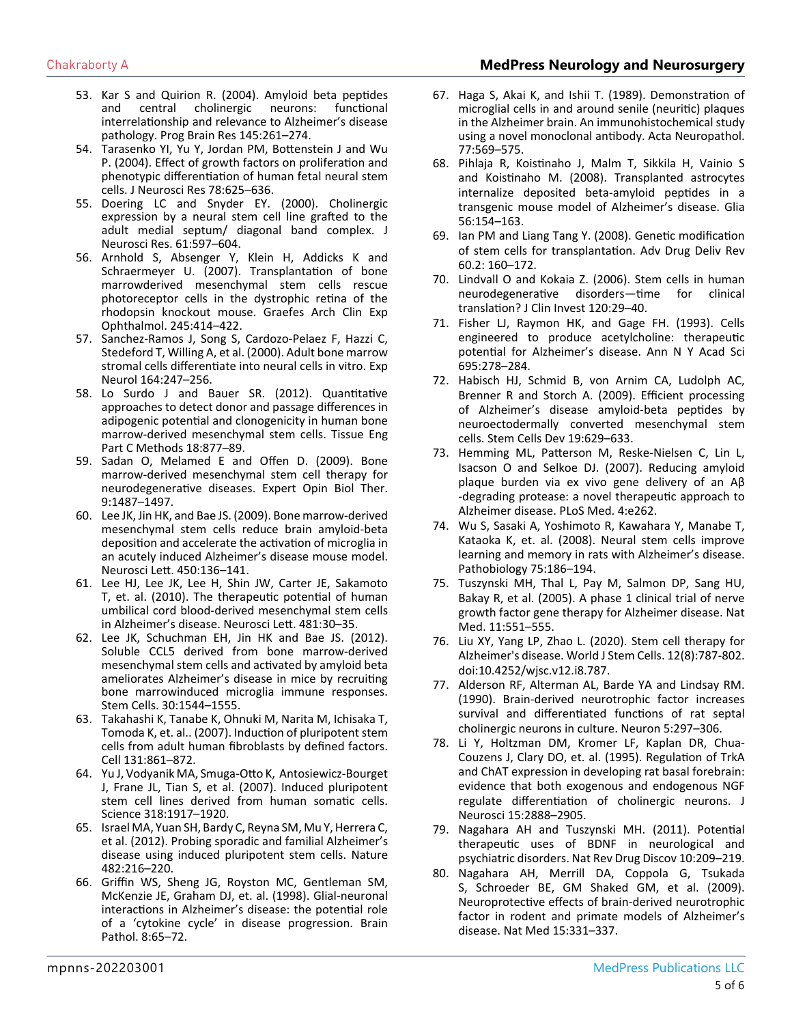### Chakraborty A **MedPress Neurology and Neurosurgery**

- 53. [Kar S and Quirion R. \(2004\). Amyloid beta peptides](https://www.sciencedirect.com/science/article/abs/pii/S0079612303450188)  [and central cholinergic neurons: functional](https://www.sciencedirect.com/science/article/abs/pii/S0079612303450188)  interrel[ationship and relevance to Alzheimer's disease](https://www.sciencedirect.com/science/article/abs/pii/S0079612303450188)  [pathology. Prog Brain Res 145:261–274.](https://www.sciencedirect.com/science/article/abs/pii/S0079612303450188)
- 54. [Tarasenko YI, Yu Y, Jordan PM, Bottenstein J and Wu](https://pubmed.ncbi.nlm.nih.gov/15490463/)  [P. \(2004\). Effect of growth factors on proliferation and](https://pubmed.ncbi.nlm.nih.gov/15490463/)  [phenotypic differentiation of human fetal neural stem](https://pubmed.ncbi.nlm.nih.gov/15490463/) [cells. J Neurosci Res 78:625–636.](https://pubmed.ncbi.nlm.nih.gov/15490463/)
- 55. [Doering LC and Snyder EY. \(2000\). Cholinergic](https://pubmed.ncbi.nlm.nih.gov/10972956/)  [expression by a neural stem cell line grafted to the](https://pubmed.ncbi.nlm.nih.gov/10972956/)  [adult medial septum/ diagonal band complex. J](https://pubmed.ncbi.nlm.nih.gov/10972956/) [Neurosci Res. 61:597–604.](https://pubmed.ncbi.nlm.nih.gov/10972956/)
- 56. [Arnhold S, Absenger Y, Klein H, Addicks K and](https://pubmed.ncbi.nlm.nih.gov/16896916/)  [Schraermeyer U. \(2007\). Transplantation of bone](https://pubmed.ncbi.nlm.nih.gov/16896916/)  [marrowderived mesenchymal stem cells rescue](https://pubmed.ncbi.nlm.nih.gov/16896916/) [photoreceptor cells in the dystrophic retina of the](https://pubmed.ncbi.nlm.nih.gov/16896916/)  [rhodopsin knockout mouse. Graefes Arch Clin Exp](https://pubmed.ncbi.nlm.nih.gov/16896916/)  [Ophthalmol. 245:414–422.](https://pubmed.ncbi.nlm.nih.gov/16896916/)
- 57. [Sanchez-Ramos J, Song S, Cardozo-Pelaez F, Hazzi C,](https://pubmed.ncbi.nlm.nih.gov/10915564/)  [Stedeford T, Willing A, et al. \(2000\). Adult bone marrow](https://pubmed.ncbi.nlm.nih.gov/10915564/) [stromal cells differentiate into neural cells in vitro. Exp](https://pubmed.ncbi.nlm.nih.gov/10915564/)  [Neurol 164:247–256.](https://pubmed.ncbi.nlm.nih.gov/10915564/)
- 58. [Lo Surdo J and Bauer SR. \(2012\). Quantitative](https://pubmed.ncbi.nlm.nih.gov/22563812/)  [approaches to detect donor and passage differences in](https://pubmed.ncbi.nlm.nih.gov/22563812/)  [adipogenic potential and clonogenicity in human bone](https://pubmed.ncbi.nlm.nih.gov/22563812/)  [marrow-derived mesenchymal stem cells. Tissue Eng](https://pubmed.ncbi.nlm.nih.gov/22563812/)  [Part C Methods 18:877–89.](https://pubmed.ncbi.nlm.nih.gov/22563812/)
- 59. [Sadan O, Melamed E and Offen D. \(2009\). Bone](https://pubmed.ncbi.nlm.nih.gov/19821796/)  [marrow-derived mesenchymal stem cell therapy for](https://pubmed.ncbi.nlm.nih.gov/19821796/)  [neurodegenerative diseases. Expert Opin Biol Ther.](https://pubmed.ncbi.nlm.nih.gov/19821796/)  [9:1487–1497.](https://pubmed.ncbi.nlm.nih.gov/19821796/)
- 60. [Lee JK, Jin HK, and Bae JS. \(2009\). Bone marrow-derived](https://pubmed.ncbi.nlm.nih.gov/19084047/) [mesenchymal stem cells reduce brain amyloid-beta](https://pubmed.ncbi.nlm.nih.gov/19084047/)  [deposition and accelerate the activation of microglia in](https://pubmed.ncbi.nlm.nih.gov/19084047/)  [an acutely induced Alzheimer's disease mouse model.](https://pubmed.ncbi.nlm.nih.gov/19084047/)  [Neurosci Lett. 450:136–141.](https://pubmed.ncbi.nlm.nih.gov/19084047/)
- 61. [Lee HJ, Lee JK, Lee H, Shin JW, Carter JE, Sakamoto](https://pubmed.ncbi.nlm.nih.gov/20600610/)  [T, et. al. \(2010\). The therapeutic potential of human](https://pubmed.ncbi.nlm.nih.gov/20600610/)  [umbilical cord blood-derived mesenchymal stem cells](https://pubmed.ncbi.nlm.nih.gov/20600610/)  [in Alzheimer's disease. Neurosci Lett. 481:30–35.](https://pubmed.ncbi.nlm.nih.gov/20600610/)
- 62. [Lee JK, Schuchman EH, Jin HK and Bae JS. \(2012\).](https://pubmed.ncbi.nlm.nih.gov/22570192/)  [Soluble CCL5 derived from bone marrow-derived](https://pubmed.ncbi.nlm.nih.gov/22570192/) [mesenchymal stem cells and activated by amyloid beta](https://pubmed.ncbi.nlm.nih.gov/22570192/)  [ameliorates Alzheimer's disease in mice by recruiting](https://pubmed.ncbi.nlm.nih.gov/22570192/)  [bone marrowinduced microglia immune responses.](https://pubmed.ncbi.nlm.nih.gov/22570192/)  [Stem Cells. 30:1544–1555.](https://pubmed.ncbi.nlm.nih.gov/22570192/)
- 63. [Takahashi K, Tanabe K, Ohnuki M, Narita M, Ichisaka T,](https://pubmed.ncbi.nlm.nih.gov/18035408/)  [Tomoda K, et. al.. \(2007\). Induction of pluripotent stem](https://pubmed.ncbi.nlm.nih.gov/18035408/)  [cells from adult human fibroblasts by defined factors.](https://pubmed.ncbi.nlm.nih.gov/18035408/)  [Cell 131:861–872.](https://pubmed.ncbi.nlm.nih.gov/18035408/)
- 64. [Yu J, Vodyanik MA, Smuga-Otto K, Antosiewicz-Bourget](https://pubmed.ncbi.nlm.nih.gov/18029452/)  [J, Frane JL, Tian S, et al. \(2007\). Induced pluripotent](https://pubmed.ncbi.nlm.nih.gov/18029452/)  [stem cell lines derived from human somatic cells.](https://pubmed.ncbi.nlm.nih.gov/18029452/)  [Science 318:1917–1920.](https://pubmed.ncbi.nlm.nih.gov/18029452/)
- 65. [Israel MA, Yuan SH, Bardy C, Reyna SM, Mu Y, Herrera C,](https://pubmed.ncbi.nlm.nih.gov/22278060/) [et al. \(2012\). Probing sporadic and familial Alzheimer's](https://pubmed.ncbi.nlm.nih.gov/22278060/) [disease using induced pluripotent stem cells. Nature](https://pubmed.ncbi.nlm.nih.gov/22278060/) [482:216–220.](https://pubmed.ncbi.nlm.nih.gov/22278060/)
- 66. [Griffin WS, Sheng JG, Royston MC, Gentleman SM,](https://pubmed.ncbi.nlm.nih.gov/9458167/)  [McKenzie JE, Graham DJ, et. al. \(1998\). Glial-neuronal](https://pubmed.ncbi.nlm.nih.gov/9458167/)  [interactions in Alzheimer's disease: the potential role](https://pubmed.ncbi.nlm.nih.gov/9458167/)  [of a 'cytokine cycle' in disease progression. Brain](https://pubmed.ncbi.nlm.nih.gov/9458167/)  [Pathol. 8:65–72.](https://pubmed.ncbi.nlm.nih.gov/9458167/)
- 67. [Haga S, Akai K, and Ishii T. \(1989\). Demonstration of](https://pubmed.ncbi.nlm.nih.gov/2750476/)  [microglial cells in and around senile \(neuritic\) plaques](https://pubmed.ncbi.nlm.nih.gov/2750476/)  [in the Alzheimer brain. An immunohistochemical study](https://pubmed.ncbi.nlm.nih.gov/2750476/)  [using a novel monoclonal antibody. Acta Neuropathol.](https://pubmed.ncbi.nlm.nih.gov/2750476/)  [77:569–575.](https://pubmed.ncbi.nlm.nih.gov/2750476/)
- 68. [Pihlaja R, Koistinaho J, Malm T, Sikkila H, Vainio S](https://pubmed.ncbi.nlm.nih.gov/18004725/)  and K[oistinaho M. \(2008\). Transplanted astrocytes](https://pubmed.ncbi.nlm.nih.gov/18004725/) [internalize deposited beta-amyloid peptides in a](https://pubmed.ncbi.nlm.nih.gov/18004725/)  [transgenic mouse model of Alzheimer's disease. Glia](https://pubmed.ncbi.nlm.nih.gov/18004725/)  [56:154–163.](https://pubmed.ncbi.nlm.nih.gov/18004725/)
- 69. [Ian PM and Liang Tang Y. \(2008\). Genetic modification](https://www.ncbi.nlm.nih.gov/pmc/articles/PMC2734411/)  [of stem cells for transplantation. Adv Drug Deliv Rev](https://www.ncbi.nlm.nih.gov/pmc/articles/PMC2734411/) [60.2: 160–172.](https://www.ncbi.nlm.nih.gov/pmc/articles/PMC2734411/)
- 70. [Lindvall O and Kokaia Z. \(2006\). Stem cells in human](https://pubmed.ncbi.nlm.nih.gov/20051634/)  [neurodegenerative disorders—time for clinical](https://pubmed.ncbi.nlm.nih.gov/20051634/)  [translation? J Clin Invest 120:29–40.](https://pubmed.ncbi.nlm.nih.gov/20051634/)
- 71. [Fisher LJ, Raymon HK, and Gage FH. \(1993\). Cells](https://pubmed.ncbi.nlm.nih.gov/8239296/)  [engineered to produce acetylcholine: therapeutic](https://pubmed.ncbi.nlm.nih.gov/8239296/)  [potential for Alzheimer's disease. Ann N Y Acad Sci](https://pubmed.ncbi.nlm.nih.gov/8239296/)  [695:278–284.](https://pubmed.ncbi.nlm.nih.gov/8239296/)
- 72. [Habisch HJ, Schmid B, von Arnim CA, Ludolph AC,](https://pubmed.ncbi.nlm.nih.gov/19469700/) [Brenner R and Storch A. \(2009\). Efficient processing](https://pubmed.ncbi.nlm.nih.gov/19469700/)  [of Alzheimer's disease amyloid-beta peptides by](https://pubmed.ncbi.nlm.nih.gov/19469700/)  [neuroectodermally converted mesenchymal stem](https://pubmed.ncbi.nlm.nih.gov/19469700/) [cells. Stem Cells Dev 19:629–633.](https://pubmed.ncbi.nlm.nih.gov/19469700/)
- 73. Hemming ML, Patterson M, Reske-Nielsen C, Lin L, Isacson O and Selkoe DJ. (2007). Reducing amyloid plaque burden via ex vivo gene delivery of an Aβ -degrading protease: a novel therapeutic approach to Alzheimer disease. PLoS Med. 4:e262.
- 74. [Wu S, Sasaki A, Yoshimoto R, Kawahara Y, Manabe T,](https://pubmed.ncbi.nlm.nih.gov/18550916/)  [Kataoka K, et. al. \(2008\). Neural stem cells improve](https://pubmed.ncbi.nlm.nih.gov/18550916/)  [learning and memory in rats with Alzheimer's disease.](https://pubmed.ncbi.nlm.nih.gov/18550916/)  [Pathobiology 75:186–194.](https://pubmed.ncbi.nlm.nih.gov/18550916/)
- 75. [Tuszynski MH, Thal L, Pay M, Salmon DP, Sang HU,](https://pubmed.ncbi.nlm.nih.gov/15852017/) [Bakay R, et al. \(2005\). A phase 1 clinical trial of nerve](https://pubmed.ncbi.nlm.nih.gov/15852017/) [growth factor gene therapy for Alzheimer disease. Nat](https://pubmed.ncbi.nlm.nih.gov/15852017/) [Med. 11:551–555.](https://pubmed.ncbi.nlm.nih.gov/15852017/)
- 76. Liu XY, Yang LP, Zhao L. (2020). Stem cell therapy for Alzheimer's disease. World J Stem Cells. 12(8):787-802. doi:10.4252/wjsc.v12.i8.787.
- 77. [Alderson RF, Alterman AL, Barde YA and Lindsay RM.](https://pubmed.ncbi.nlm.nih.gov/2169269/)  [\(1990\). Brain-derived neurotrophic factor increases](https://pubmed.ncbi.nlm.nih.gov/2169269/) [survival and differentiated functions of rat septal](https://pubmed.ncbi.nlm.nih.gov/2169269/)  [cholinergic neurons in culture. Neuron 5:297–306.](https://pubmed.ncbi.nlm.nih.gov/2169269/)
- 78. [Li Y, Holtzman DM, Kromer LF, Kaplan DR, Chua-](https://pubmed.ncbi.nlm.nih.gov/7536822/)[Couzens J, Clary DO, et. al. \(1995\). Regulation of TrkA](https://pubmed.ncbi.nlm.nih.gov/7536822/) [and ChAT expression in developing rat basal forebrain:](https://pubmed.ncbi.nlm.nih.gov/7536822/)  [evidence that both exogenous and endogenous NGF](https://pubmed.ncbi.nlm.nih.gov/7536822/)  [regulate differentiation of cholinergic neurons. J](https://pubmed.ncbi.nlm.nih.gov/7536822/)  [Neurosci 15:2888–2905.](https://pubmed.ncbi.nlm.nih.gov/7536822/)
- 79. [Nagahara AH and Tuszynski MH. \(2011\). Potential](https://pubmed.ncbi.nlm.nih.gov/21358740/)  [therapeutic uses of BDNF in neurological and](https://pubmed.ncbi.nlm.nih.gov/21358740/)  [psychiatric disorders. Nat Rev Drug Discov 10:209–219.](https://pubmed.ncbi.nlm.nih.gov/21358740/)
- 80. [Nagahara AH, Merrill DA, Coppola G, Tsukada](https://pubmed.ncbi.nlm.nih.gov/19198615/)  [S, Schroeder BE, GM Shaked GM, et al. \(2009\).](https://pubmed.ncbi.nlm.nih.gov/19198615/)  [Neuroprotective effects of brain-derived neurotrophic](https://pubmed.ncbi.nlm.nih.gov/19198615/)  [factor in rodent and primate models of Alzheimer's](https://pubmed.ncbi.nlm.nih.gov/19198615/) [disease. Nat Med 15:331–337.](https://pubmed.ncbi.nlm.nih.gov/19198615/)